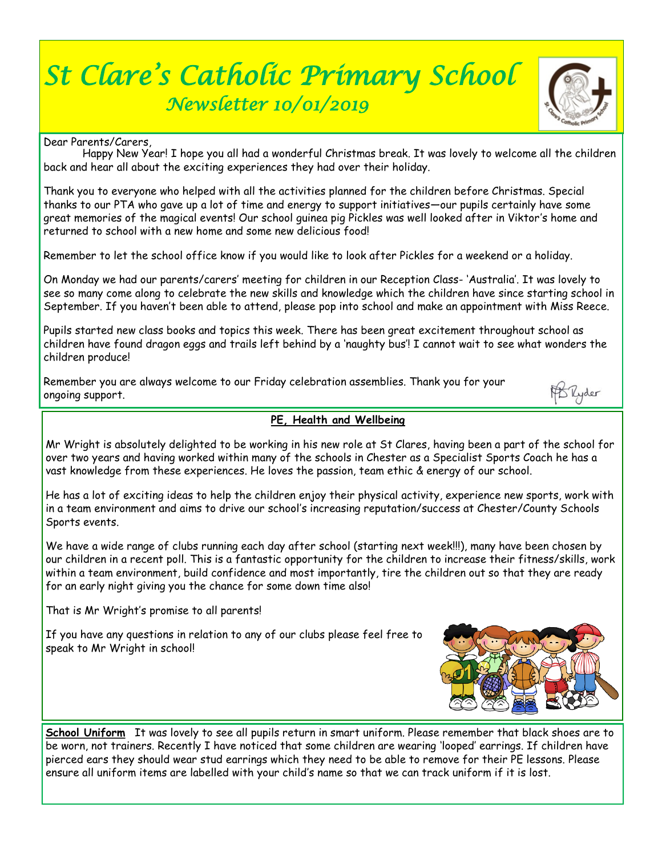## *St Clare's Catholic Primary School Newsletter 10/01/2019*



PDRyder

Dear Parents/Carers,

 Happy New Year! I hope you all had a wonderful Christmas break. It was lovely to welcome all the children back and hear all about the exciting experiences they had over their holiday.

Thank you to everyone who helped with all the activities planned for the children before Christmas. Special thanks to our PTA who gave up a lot of time and energy to support initiatives—our pupils certainly have some great memories of the magical events! Our school guinea pig Pickles was well looked after in Viktor's home and returned to school with a new home and some new delicious food!

Remember to let the school office know if you would like to look after Pickles for a weekend or a holiday.

On Monday we had our parents/carers' meeting for children in our Reception Class- 'Australia'. It was lovely to see so many come along to celebrate the new skills and knowledge which the children have since starting school in September. If you haven't been able to attend, please pop into school and make an appointment with Miss Reece.

Pupils started new class books and topics this week. There has been great excitement throughout school as children have found dragon eggs and trails left behind by a 'naughty bus'! I cannot wait to see what wonders the children produce!

Remember you are always welcome to our Friday celebration assemblies. Thank you for your ongoing support.

 **PE, Health and Wellbeing**

Mr Wright is absolutely delighted to be working in his new role at St Clares, having been a part of the school for over two years and having worked within many of the schools in Chester as a Specialist Sports Coach he has a vast knowledge from these experiences. He loves the passion, team ethic & energy of our school.

He has a lot of exciting ideas to help the children enjoy their physical activity, experience new sports, work with in a team environment and aims to drive our school's increasing reputation/success at Chester/County Schools Sports events.

We have a wide range of clubs running each day after school (starting next week!!!), many have been chosen by our children in a recent poll. This is a fantastic opportunity for the children to increase their fitness/skills, work within a team environment, build confidence and most importantly, tire the children out so that they are ready for an early night giving you the chance for some down time also!

That is Mr Wright's promise to all parents!

If you have any questions in relation to any of our clubs please feel free to speak to Mr Wright in school!



**School Uniform** It was lovely to see all pupils return in smart uniform. Please remember that black shoes are to be worn, not trainers. Recently I have noticed that some children are wearing 'looped' earrings. If children have pierced ears they should wear stud earrings which they need to be able to remove for their PE lessons. Please ensure all uniform items are labelled with your child's name so that we can track uniform if it is lost.